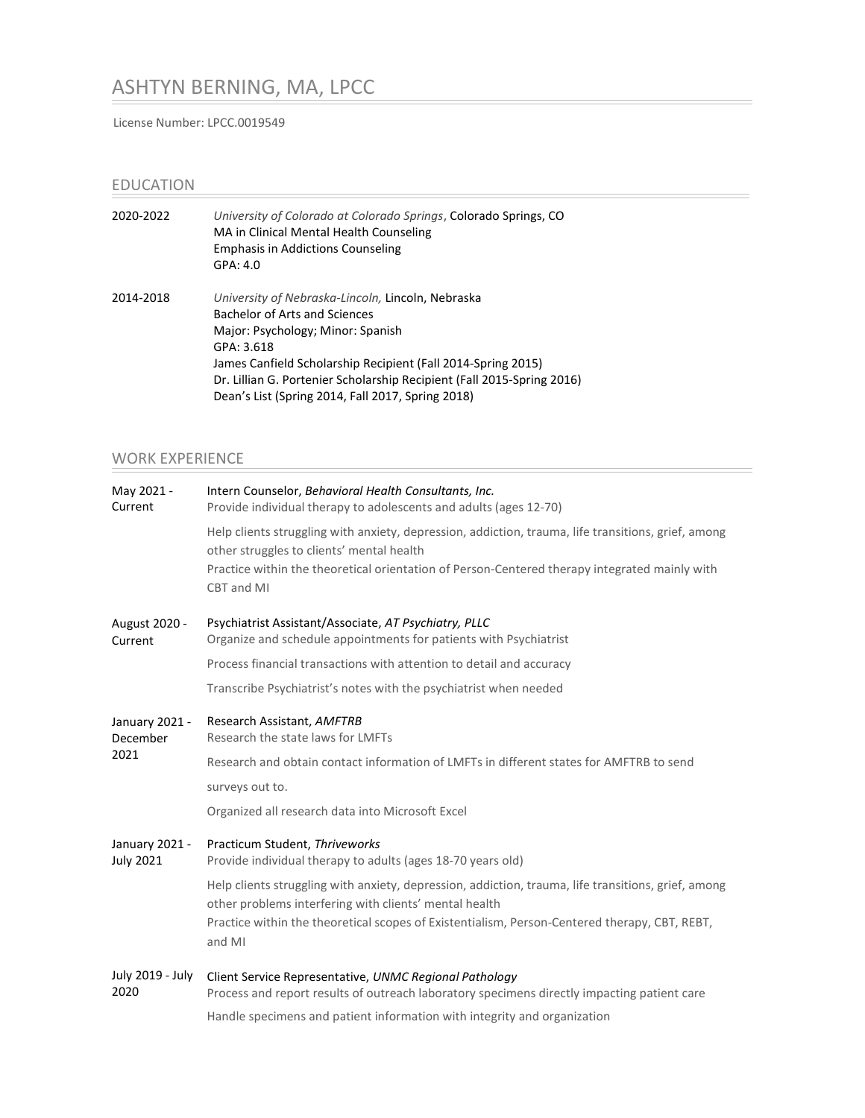# ASHTYN BERNING, MA, LPCC

License Number: LPCC.0019549

### EDUCATION

| 2020-2022 | University of Colorado at Colorado Springs, Colorado Springs, CO<br>MA in Clinical Mental Health Counseling<br><b>Emphasis in Addictions Counseling</b><br>GPA: 4.0 |
|-----------|---------------------------------------------------------------------------------------------------------------------------------------------------------------------|
| 2014-2018 | University of Nebraska-Lincoln, Lincoln, Nebraska<br>Bachelor of Arts and Sciences                                                                                  |
|           | Major: Psychology; Minor: Spanish                                                                                                                                   |
|           | GPA: 3.618                                                                                                                                                          |
|           | James Canfield Scholarship Recipient (Fall 2014-Spring 2015)                                                                                                        |
|           | Dr. Lillian G. Portenier Scholarship Recipient (Fall 2015-Spring 2016)                                                                                              |
|           | Dean's List (Spring 2014, Fall 2017, Spring 2018)                                                                                                                   |

## WORK EXPERIENCE

| May 2021 -<br>Current              | Intern Counselor, Behavioral Health Consultants, Inc.<br>Provide individual therapy to adolescents and adults (ages 12-70)                                                                                                                                      |
|------------------------------------|-----------------------------------------------------------------------------------------------------------------------------------------------------------------------------------------------------------------------------------------------------------------|
|                                    | Help clients struggling with anxiety, depression, addiction, trauma, life transitions, grief, among<br>other struggles to clients' mental health<br>Practice within the theoretical orientation of Person-Centered therapy integrated mainly with<br>CBT and MI |
| August 2020 -<br>Current           | Psychiatrist Assistant/Associate, AT Psychiatry, PLLC<br>Organize and schedule appointments for patients with Psychiatrist                                                                                                                                      |
|                                    | Process financial transactions with attention to detail and accuracy                                                                                                                                                                                            |
|                                    | Transcribe Psychiatrist's notes with the psychiatrist when needed                                                                                                                                                                                               |
| January 2021 -<br>December<br>2021 | Research Assistant, AMFTRB<br>Research the state laws for LMFTs                                                                                                                                                                                                 |
|                                    | Research and obtain contact information of LMFTs in different states for AMFTRB to send                                                                                                                                                                         |
|                                    | surveys out to.                                                                                                                                                                                                                                                 |
|                                    | Organized all research data into Microsoft Excel                                                                                                                                                                                                                |
| January 2021 -<br><b>July 2021</b> | Practicum Student, Thriveworks<br>Provide individual therapy to adults (ages 18-70 years old)                                                                                                                                                                   |
|                                    | Help clients struggling with anxiety, depression, addiction, trauma, life transitions, grief, among<br>other problems interfering with clients' mental health                                                                                                   |
|                                    | Practice within the theoretical scopes of Existentialism, Person-Centered therapy, CBT, REBT,<br>and MI                                                                                                                                                         |
| July 2019 - July<br>2020           | Client Service Representative, UNMC Regional Pathology<br>Process and report results of outreach laboratory specimens directly impacting patient care                                                                                                           |
|                                    | Handle specimens and patient information with integrity and organization                                                                                                                                                                                        |